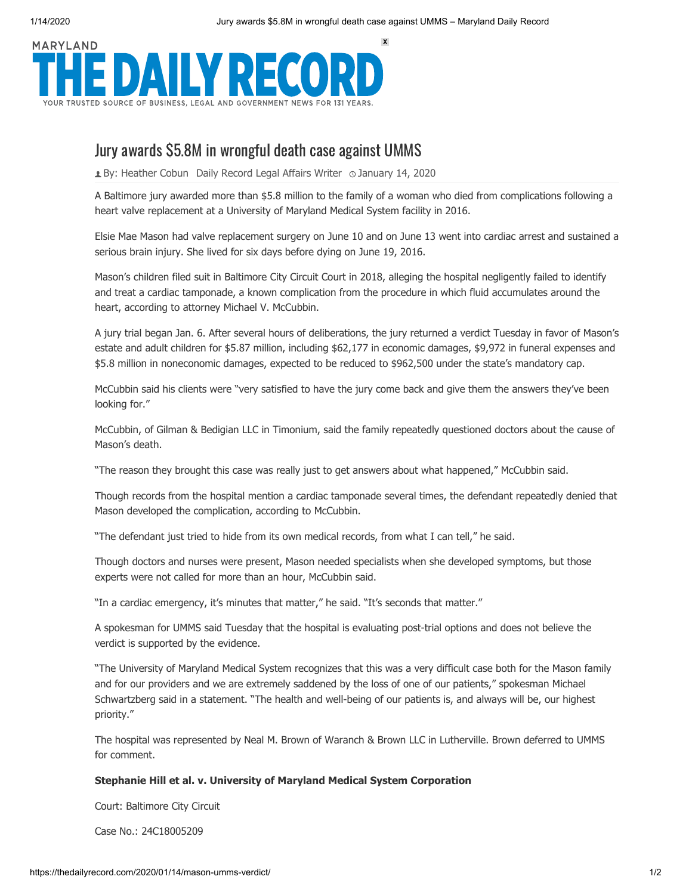1/14/2020 Jury awards \$5.8M in wrongful death case against UMMS – Maryland Daily Record



## Jury awards \$5.8M in wrongful death case against UMMS

**1** By: [Heather Cobun](https://thedailyrecord.com/author/heathercobun/) Daily Record Legal Affairs Writer  $\circ$  January 14, 2020

A Baltimore jury awarded more than \$5.8 million to the family of a woman who died from complications following a heart valve replacement at a University of Maryland Medical System facility in 2016.

Elsie Mae Mason had valve replacement surgery on June 10 and on June 13 went into cardiac arrest and sustained a serious brain injury. She lived for six days before dying on June 19, 2016.

Mason's children filed suit in Baltimore City Circuit Court in 2018, alleging the hospital negligently failed to identify and treat a cardiac tamponade, a known complication from the procedure in which fluid accumulates around the heart, according to attorney Michael V. McCubbin.

A jury trial began Jan. 6. After several hours of deliberations, the jury returned a verdict Tuesday in favor of Mason's estate and adult children for \$5.87 million, including \$62,177 in economic damages, \$9,972 in funeral expenses and \$5.8 million in noneconomic damages, expected to be reduced to \$962,500 under the state's mandatory cap.

McCubbin said his clients were "very satisfied to have the jury come back and give them the answers they've been looking for."

McCubbin, of Gilman & Bedigian LLC in Timonium, said the family repeatedly questioned doctors about the cause of Mason's death.

"The reason they brought this case was really just to get answers about what happened," McCubbin said.

Though records from the hospital mention a cardiac tamponade several times, the defendant repeatedly denied that Mason developed the complication, according to McCubbin.

"The defendant just tried to hide from its own medical records, from what I can tell," he said.

Though doctors and nurses were present, Mason needed specialists when she developed symptoms, but those experts were not called for more than an hour, McCubbin said.

"In a cardiac emergency, it's minutes that matter," he said. "It's seconds that matter."

A spokesman for UMMS said Tuesday that the hospital is evaluating post-trial options and does not believe the verdict is supported by the evidence.

"The University of Maryland Medical System recognizes that this was a very difficult case both for the Mason family and for our providers and we are extremely saddened by the loss of one of our patients," spokesman Michael Schwartzberg said in a statement. "The health and well-being of our patients is, and always will be, our highest priority."

The hospital was represented by Neal M. Brown of Waranch & Brown LLC in Lutherville. Brown deferred to UMMS for comment.

## **Stephanie Hill et al. v. University of Maryland Medical System Corporation**

Court: Baltimore City Circuit

Case No.: 24C18005209